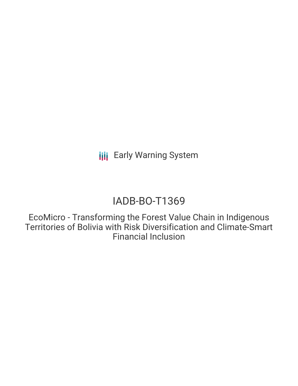# IADB-BO-T1369

EcoMicro - Transforming the Forest Value Chain in Indigenous Territories of Bolivia with Risk Diversification and Climate-Smart Financial Inclusion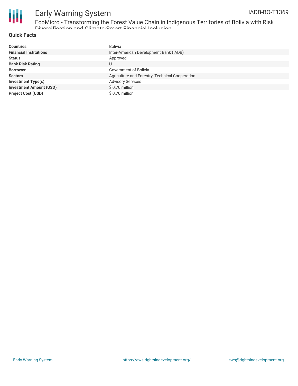

EcoMicro - Transforming the Forest Value Chain in Indigenous Territories of Bolivia with Risk Diversification and Climate-Smart Financial Inclusion

#### **Quick Facts**

| <b>Countries</b>               | Bolivia                                         |
|--------------------------------|-------------------------------------------------|
| <b>Financial Institutions</b>  | Inter-American Development Bank (IADB)          |
| <b>Status</b>                  | Approved                                        |
| <b>Bank Risk Rating</b>        | U                                               |
| <b>Borrower</b>                | Government of Bolivia                           |
| <b>Sectors</b>                 | Agriculture and Forestry, Technical Cooperation |
| <b>Investment Type(s)</b>      | <b>Advisory Services</b>                        |
| <b>Investment Amount (USD)</b> | \$0.70 million                                  |
| <b>Project Cost (USD)</b>      | \$0.70 million                                  |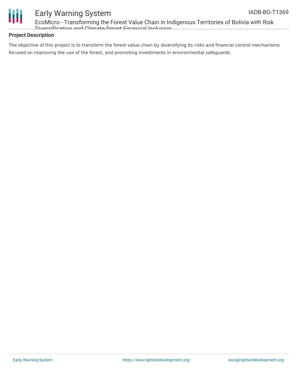

EcoMicro - Transforming the Forest Value Chain in Indigenous Territories of Bolivia with Risk Diversification and Climate-Smart Financial Inclusion

### **Project Description**

The objective of this project is to transform the forest value chain by diversifying its risks and financial control mechanisms focused on improving the use of the forest, and promoting investments in environmental safeguards.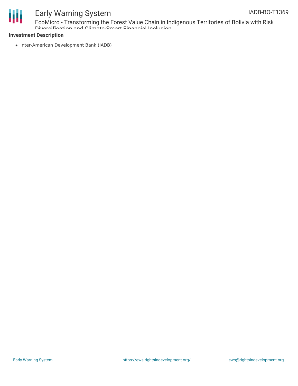



EcoMicro - Transforming the Forest Value Chain in Indigenous Territories of Bolivia with Risk Diversification and Climate-Smart Financial Inclusion

#### **Investment Description**

• Inter-American Development Bank (IADB)